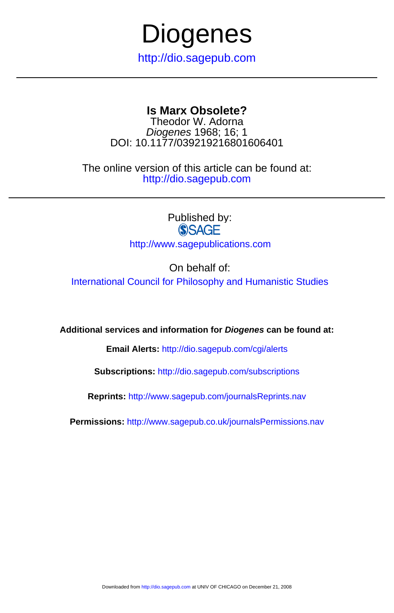

DOI: 10.1177/039219216801606401 Diogenes 1968; 16; 1 Theodor W. Adorna

http://dio.sagepub.com The online version of this article can be found at:

> Published by:<br>
> SAGE http://www.sagepublications.com

> > On behalf of:

[International Council for Philosophy and Humanistic Studies](http://www.unesco.org/cipsh/)

**Additional services and information for Diogenes can be found at:**

**Email Alerts:** <http://dio.sagepub.com/cgi/alerts>

**Subscriptions:** <http://dio.sagepub.com/subscriptions>

**Reprints:** <http://www.sagepub.com/journalsReprints.nav>

**Permissions:** <http://www.sagepub.co.uk/journalsPermissions.nav>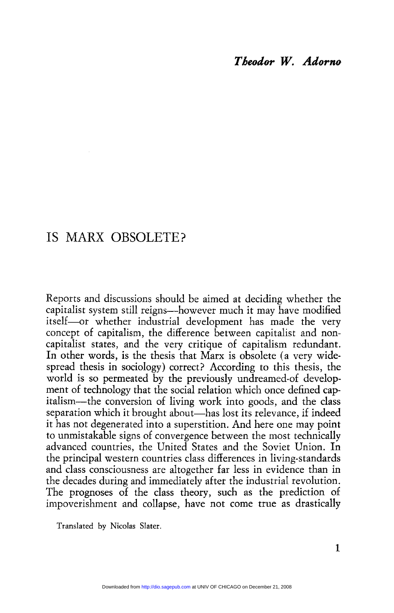# IS MARX OBSOLETE?

Reports and discussions should be aimed at deciding whether the capitalist system still reigns-however much it may have modified itself-or whether industrial development has made the very concept of capitalism, the difference between capitalist and noncapitalist states, and the very critique of capitalism redundant. In other words, is the thesis that Marx is obsolete (a very widespread thesis in sociology) correct? According to this thesis, the world is so permeated by the previously undreamed of development of technology that the social relation which once defined capitalism-the conversion of living work into goods, and the class separation which it brought about—has lost its relevance, if indeed it has not degenerated into a superstition. And here one may point to unmistakable signs of convergence between the most technically advanced countries, the United States and the Soviet Union. In the principal western countries class differences in living-standards and class consciousness are altogether far less in evidence than in the decades during and immediately after the industrial revolution. The prognoses of the class theory, such as the prediction of impoverishment and collapse, have not come true as drastically

Translated by Nicolas Slater.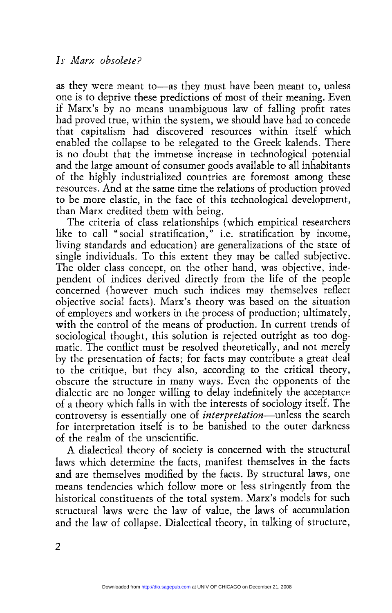as they were meant to—as they must have been meant to, unless one is to deprive these predictions of most of their meaning. Even if Marx's by no means unambiguous law of falling profit rates had proved true, within the system, we should have had to concede that capitalism had discovered resources within itself which enabled the collapse to be relegated to the Greek kalends. There is no doubt that the immense increase in technological potential and the large amount of consumer goods available to all inhabitants of the highly industrialized countries are foremost among these resources. And at the same time the relations of production proved

than Marx credited them with being.<br>The criteria of class relationships (which empirical researchers like to call "social stratification," i.e. stratification by income, living standards and education) are generalizations of the state of single individuals. To this extent they may be called subjective. The older class concept, on the other hand, was objective, independent of indices derived directly from the life of the people concerned (however much such indices may themselves reflect objective social facts). Marx's theory was based on the situation of employers and workers in the process of production; ultimately, with the control of the means of production. In current trends of sociological thought, this solution is rejected outright as too dogmatic. The conflict must be resolved theoretically, and not merely by the presentation of facts; for facts may contribute a great deal to the critique, but they also, according to the critical theory, obscure the structure in many ways. Even the opponents of the dialectic are no longer willing to delay indefinitely the acceptance of a theory which falls in with the interests of sociology itself. The controversy is essentially one of *interpretation*—unless the search for interpretation itself is to be banished to the outer darkness of the realm of the unscientific.

A dialectical theory of society is concerned with the structural laws which determine the facts, manifest themselves in the facts and are themselves modified by the facts. By structural laws, one means tendencies which follow more or less stringently from the historical constituents of the total system. Marx's models for such structural laws were the law of value, the laws of accumulation and the law of collapse. Dialectical theory, in talking of structure,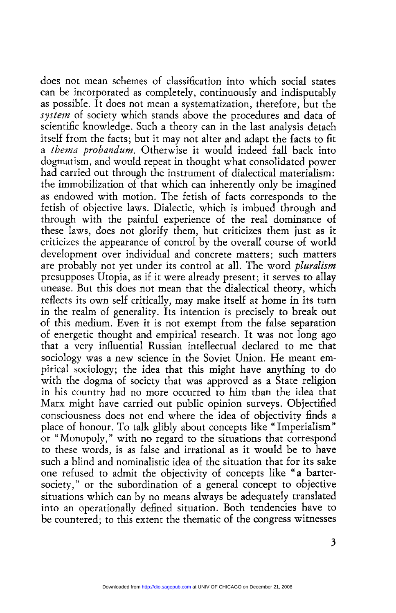does not mean schemes of classification into which social states can be incorporated as completely, continuously and indisputably as possible. It does not mean a systematization, therefore, but the system of society which stands above the procedures and data of scientific knowledge. Such a theory can in the last analysis detach itself from the facts; but it may not alter and adapt the facts to fit a thema probandum. Otherwise it would indeed fall back into dogmatism, and would repeat in thought what consolidated power had carried out through the instrument of dialectical materialism: the immobilization of that which can inherently only be imagined as endowed with motion. The fetish of facts corresponds to the fetish of objective laws. Dialectic, which is imbued through and through with the painful experience of the real dominance of these laws, does not glorify them, but criticizes them just as it criticizes the appearance of control by the overall course of world development over individual and concrete matters; such matters are probably not yet under its control at all. The word *pluralism*<br>presupposes Utopia, as if it were already present: it serves to allay unease. But this does not mean that the dialectical theory, which reflects its own self critically, may make itself at home in its turn in the realm of generality. Its intention is precisely to break out of this medium. Even it is not exempt from the false separation of energetic thought and empirical research. It was not long ago that a very influential Russian intellectual declared to me that sociology was a new science in the Soviet Union. He meant empirical sociology; the idea that this might have anything to do with the dogma of society that was approved as a State religion in his country had no more occurred to him than the idea that Marx might have carried out public opinion surveys. Objectified consciousness does not end where the idea of objectivity finds a place of honour. To talk glibly about concepts like "Imperialism"<br>or "Monopoly," with no regard to the situations that correspond to these words, is as false and irrational as it would be to have such a blind and nominalistic idea of the situation that for its sake one refused to admit the objectivity of concepts like "a bartersociety," or the subordination of a general concept to objective situations which can by no means always be adequately translated into an operationally defined situation. Both tendencies have to be countered; to this extent the thematic of the congress witnesses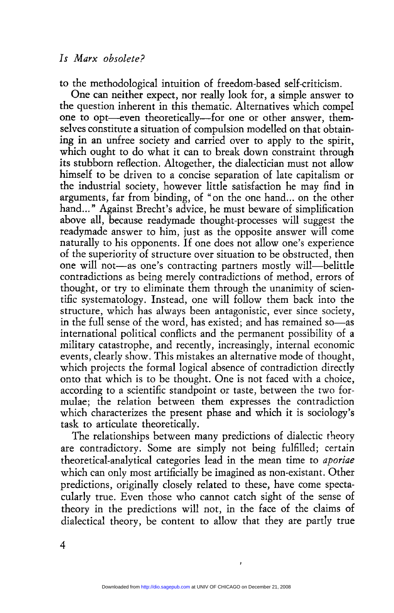to the methodological intuition of freedom-based self-criticism.

One can neither expect, nor really look for, a simple answer to one to opt—even theoretically—for one or other answer, themselves constitute a situation of compulsion modelled on that obtaining in an unfree society and carried over to apply to the spirit, which ought to do what it can to break down constraint through its stubborn reflection. Altogether, the dialectician must not allow himself to be driven to a concise separation of late capitalism or the industrial society, however little satisfaction he may find in arguments, far from binding, of "on the one hand... on the other hand..." Against Brecht's advice, he must beware of simplification above all, because readymade thought-processes will suggest the readymade answer to him, just as the opposite answer will come naturally to his opponents. If one does not allow one's experience of the superiority of structure over situation to be obstructed, then one will not—as one's contracting partners mostly will—belittle contradictions as being merely contradictions of method, errors of thought, or try to eliminate them through the unanimity of scientific systematology. Instead, one will follow them back into the structure, which has always been antagonistic, ever since society, in the full sense of the word, has existed; and has remained so—as international political conflicts and the permanent possibility of a military catastrophe, and recently, increasingly, internal economic events, clearly show. This mistakes an alternative mode of thought, which projects the formal logical absence of contradiction directly onto that which is to be thought. One is not faced with a choice, according to a scientific standpoint or taste, between the two formulae; the relation between them expresses the contradiction which characterizes the present phase and which it is sociology's task to articulate theoretically.<br>The relationships between many predictions of dialectic theory

are contradictory. Some are simply not being fulfilled; certain theoretical-analytical categories lead in the mean time to aporiae which can only most artificially be imagined as non-existant. Other predictions, originally closely related to these, have come spectacularly true. Even those who cannot catch sight of the sense of theory in the predictions will not, in the face of the claims of dialectical theory, be content to allow that they are partly true

 $\cdot$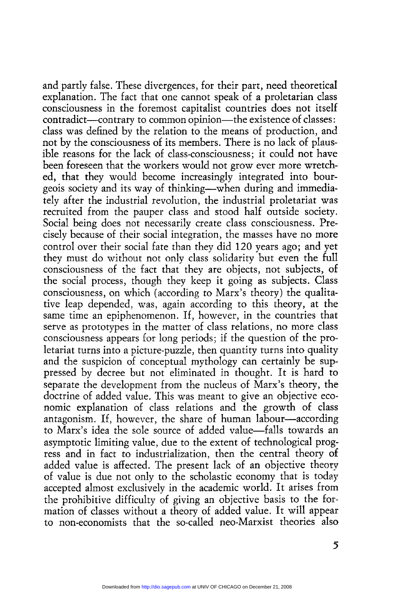and partly false. These divergences, for their part, need theoretical explanation. The fact that one cannot speak of a proletarian class consciousness in the foremost capitalist countries does not itself contradict—contrary to common opinion—the existence of classes: class was defined by the relation to the means of production, and not by the consciousness of its members. There is no lack of plaus ible reasons for the lack of class-consciousness; it could not have been foreseen that the workers would not grow ever more wretched, that they would become increasingly integrated into bourgeois society and its way of thinking-when during and immediately after the industrial revolution, the industrial proletariat was recruited from the pauper class and stood half outside society. Social being does not necessarily create class consciousness. Precisely because of their social integration, the masses have no more control over their social fate than they did 120 years ago; and yet they must do without not only class solidarity but even the full consciousness of the fact that they are objects, not subjects, of the social process, though they keep it going as subjects. Class consciousness, on which (according to Marx's theory) the qualitative leap depended, was, again according to this theory, at the same time an epiphenomenon. If, however, in the countries that serve as prototypes in the matter of class relations, no more class consciousness appears for long periods; if the question of the proletariat turns into a picture-puzzle, then quantity turns into quality and the suspicion of conceptual mythology can certainly be suppressed by decree but not eliminated in thought. It is hard to separate the development from the nucleus of Marx's theory, the doctrine of added value. This was meant to give an objective economic explanation of class relations and the growth of class antagonism. If, however, the share of human labour—according to Marx's idea the sole source of added value—falls towards an asymptotic limiting value, due to the extent of technological prog ress and in fact to industrialization, then the central theory of added value is affected. The present lack of an objective theory of value is due not only to the scholastic economy that is today, accepted almost exclusively in the academic world. It arises from the prohibitive difficulty of giving an objective basis to the formation of classes without a theory of added value. It will appear to non-economists that the so-called neo-Marxist theories also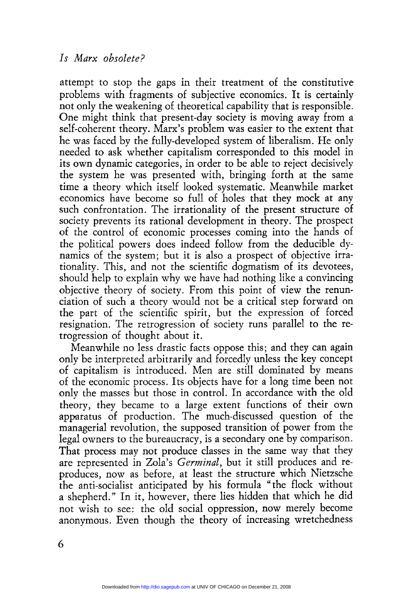attempt to stop the gaps in their treatment of the constitutive problems with fragments of subjective economics. It is certainly not only the weakening of theoretical capability that is responsible. One might think that present-day society is moving away from a self-coherent theory. Marx's problem was easier to the extent that<br>he was faced by the fully-developed system of liberalism. He only he needed to ask whether capitalism corresponded to this model in its own dynamic categories, in order to be able to reject decisively the system he was presented with, bringing forth at the same time a theory which itself looked systematic. Meanwhile market economics have become so full of holes that they mock at any such confrontation. The irrationality of the present structure of society prevents its rational development in theory. The prospect of the control of economic processes coming into the hands of the political powers does indeed follow from the deducible dynamics of the system; but it is also a prospect of objective irrationality. This, and not the scientific dogmatism of its devotees, should help to explain why we have had nothing like a convincing objective theory of society. From this point of view the renunciation of such a theory would not be a critical step forward on the part of the scientific spirit, but the expression of forced resignation. The retrogression of society runs parallel to the retrogression of thought about it.

Meanwhile no less drastic facts oppose this; and they can again only be interpreted arbitrarily and forcedly unless the key concept of capitalism is introduced. Men are still dominated by means of the economic process. Its objects have for a long time been not only the masses but those in control. In accordance with the old theory, they became to a large extent functions of their own apparatus of production. The much-discussed question of the managerial revolution, the supposed transition of power from the legal owners to the bureaucracy, is a secondary one by comparison. are represented in Zola's Germinal, but it still produces and reproduces, now as before, at least the structure which Nietzsche the anti-socialist anticipated by his formula "the flock without a shepherd." In it, however, there lies hidden that which he did not wish to see: the old social oppression, now merely become anonymous. Even though the theory of increasing wretchedness

6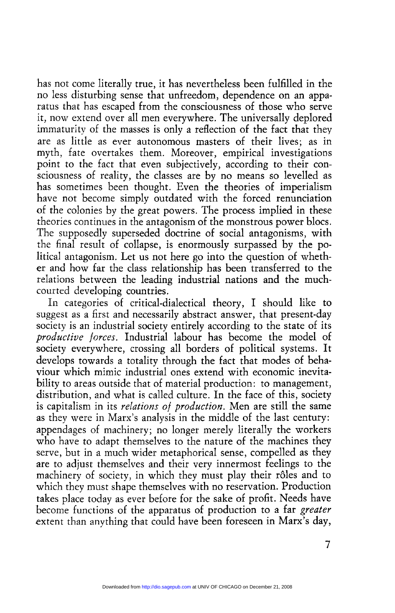has not come literally true, it has nevertheless been fulfilled in the no less disturbing sense that unfreedom, dependence on an appa- ratus that has escaped from the consciousness of those who serve it, now extend over all men everywhere. The universally deplored immaturity of the masses is only a reflection of the fact that they are as little as ever autonomous masters of their lives; as in myth, fate overtakes them. Moreover, empirical investigations point to the fact that even subjectively, according to their consciousness of reality, the classes are by no means so levelled as has sometimes been thought. Even the theories of imperialism have not become simply outdated with the forced renunciation of the colonies by the great powers. The process implied in these theories continues in the antagonism of the monstrous power blocs. The supposedly superseded doctrine of social antagonisms, with the final result of collapse, is enormously surpassed by the political antagonism. Let us not here go into the question of whether and how far the class relationship has been transferred to the relations between the leading industrial nations and the muchcourted developing countries.

In categories of critical-dialectical theory, I should like to suggest as a first and necessarily abstract answer, that present-day society is an industrial society entirely according to the state of its productive forces. Industrial labour has become the model of society everywhere, crossing all borders of political systems. It develops towards a totality through the fact that modes of behaviour which mimic industrial ones extend with economic inevitability to areas outside that of material production: to management, distribution, and what is called culture. In the face of this, society is capitalism in its relations of production. Men are still the same as they were in Marx's analysis in the middle of the last century: appendages of machinery; no longer merely literally the workers who have to adapt themselves to the nature of the machines they serve, but in a much wider metaphorical sense, compelled as they are to adjust themselves and their very innermost feelings to the machinery of society, in which they must play their rôles and to which they must shape themselves with no reservation. Production takes place today as ever before for the sake of profit. Needs have become functions of the apparatus of production to a far greater extent than anything that could have been foreseen in Marx's day,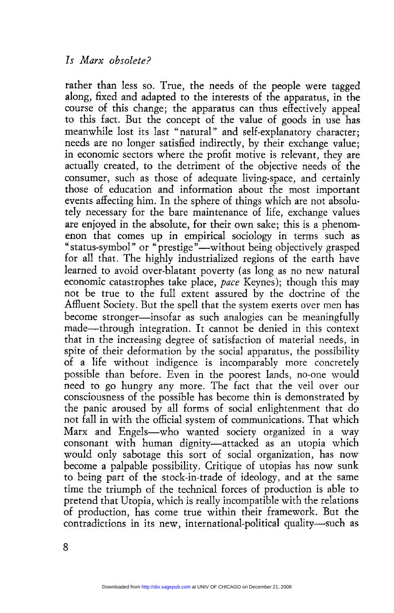rather than less so. True, the needs of the people were tagged along, fixed and adapted to the interests of the apparatus, in the course of this change; the apparatus can thus effectively appeal to this fact. But the concept of the value of goods in use has meanwhile lost its last "natural" and self-explanatory character; needs are no longer satisfied indirectly, by their exchange value; in economic sectors where the profit motive is relevant, they are actually created, to the detriment of the objective needs of the consumer, such as those of adequate living-space, and certainly those of education and information about the most important events affecting him. In the sphere of things which are not absolutely necessary for the bare maintenance of life, exchange values are enjoyed in the absolute, for their own sake; this is a phenomenon that comes up in empirical sociology in terms such as "status-symbol" or "prestige"—without being objectively grasped for all that. The highly industrialized regions of the earth have learned to avoid over-blatant poverty (as long as no new natural economic catastrophes take place, pace Keynes); though this may not be true to the full extent assured by the doctrine of the Affluent Society. But the spell that the system exerts over men has become stronger—insofar as such analogies can be meaningfully made—through integration. It cannot be denied in this context that in the increasing degree of satisfaction of material needs, in spite of their deformation by the social apparatus, the possibility of a life without indigence is incomparably more concretely possible than before. Even in the poorest lands, no-one would need to go hungry any more. The fact that the veil over our consciousness of the possible has become thin is demonstrated by the panic aroused by all forms of social enlightenment that do not fall in with the official system of communications. That which Marx and Engels-who wanted society organized in a way consonant with human dignity-attacked as an utopia which would only sabotage this sort of social organization, has now become a palpable possibility. Critique of utopias has now sunk to being part of the stock-in-trade of ideology, and at the same time the triumph of the technical forces of production is able to pretend that Utopia, which is really incompatible with the relations of production, has come true within their framework. But the contradictions in its new, international-political quality—such as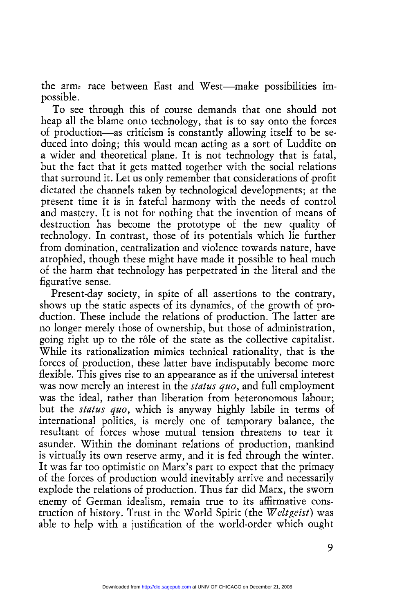the arm; race between East and West-make possibilities impossible.

To see through this of course demands that one should not heap all the blame onto technology, that is to say onto the forces of production-as criticism is constantly allowing itself to be seduced into doing; this would mean acting as a sort of Luddite on a wider and theoretical plane. It is not technology that is fatal, but the fact that it gets matted together with the social relations that surround it. Let us only remember that considerations of profit dictated the channels taken by technological developments; at the present time it is in fateful harmony with the needs of control and mastery. It is not for nothing that the invention of means of destruction has become the prototype of the new quality of technology. In contrast, those of its potentials which lie further from domination, centralization and violence towards nature, have atrophied, though these might have made it possible to heal much of the harm that technology has perpetrated in the literal and the figurative sense.

Present-day society, in spite of all assertions to the contrary, shows up the static aspects of its dynamics, of the growth of production. These include the relations of production. The latter are no longer merely those of ownership, but those of administration, going right up to the rôle of the state as the collective capitalist. While its rationalization mimics technical rationality, that is the forces of production, these latter have indisputably become more flexible. This gives rise to an appearance as if the universal interest was now merely an interest in the *status quo*, and full employment was the ideal, rather than liberation from heteronomous labour; but the *status quo*, which is anyway highly labile in terms of international politics, is merely one of temporary balance, the resultant of forces whose mutual tension threatens to tear it asunder. Within the dominant relations of production, mankind is virtually its own reserve army, and it is fed through the winter. It was far too optimistic on Marx's part to expect that the primacy of the forces of production would inevitably arrive and necessarily explode the relations of production. Thus far did Marx, the sworn enemy of German idealism, remain true to its affirmative construction of history. Trust in the World Spirit (the Weltgeist) was able to help with a justification of the world-order which ought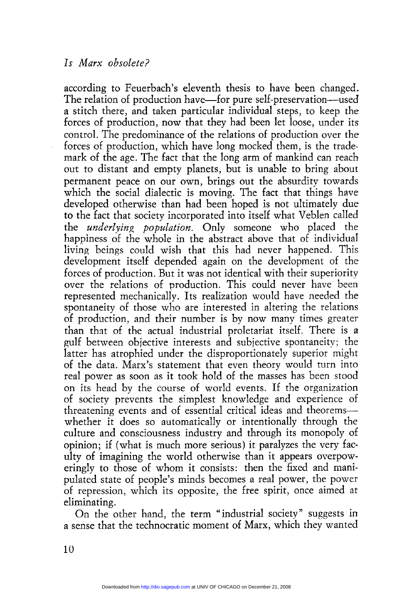according to Feuerbach's eleventh thesis to have been changed. The relation of production have—for pure self-preservation—used a stitch there, and taken particular individual steps, to keep the forces of production, now that they had been let loose, under its control. The predominance of the relations of production over the forces of production, which have long mocked them, is the trademark of the age. The fact that the long arm of mankind can reach out to distant and empty planets, but is unable to bring about permanent peace on our own, brings out the absurdity towards which the social dialectic is moving. The fact that things have developed otherwise than had been hoped is not ultimately due to the fact that society incorporated into itself what Veblen called the underlying population. Only someone who placed the happiness of the whole in the abstract above that of individual living beings could wish that this had never happened. This development itself depended again on the development of the forces of production. But it was not identical with their superiority over the relations of production. This could never have been represented mechanically. Its realization would have needed the spontaneity of those who are interested in altering the relations of production, and their number is by now many times greater than that of the actual industrial proletariat itself. There is a gulf between objective interests and subjective spontaneity; the latter has atrophied under the disproportionately superior might of the data. Marx's statement that even theory would turn into real power as soon as it took hold of the masses has been stood on its head by the course of world events. If the organization of society prevents the simplest knowledge and experience of threatening events and of essential critical ideas and theorems whether it does so automatically or intentionally through the culture and consciousness industry and through its monopoly of opinion; if (what is much more serious) it paralyzes the very faculty of imagining the world otherwise than it appears overpoweringly to those of whom it consists: then the fixed and manipulated state of people's minds becomes a real power, the power of repression, which its opposite, the free spirit, once aimed at eliminating.

On the other hand, the term "industrial society" suggests in a sense that the technocratic moment of Marx, which they wanted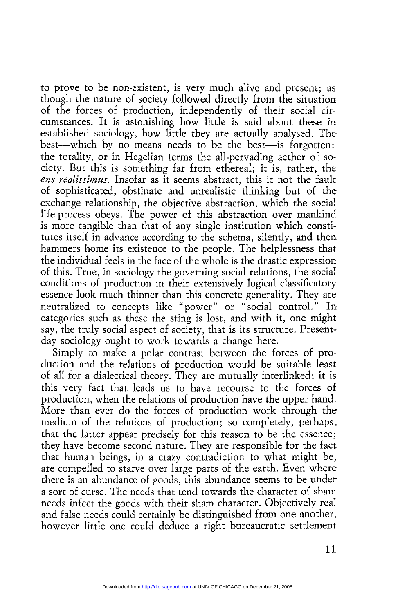to prove to be non-existent, is very much alive and present; as though the nature of society followed directly from the situation of the forces of production, independently of their social circumstances. It is astonishing how little is said about these in established sociology, how little they are actually analysed. The best—which by no means needs to be the best—is forgotten: the totality, or in Hegelian terms the all-pervading aether of society. But this is something far from ethereal; it is, rather, the ens realissimus. Insofar as it seems abstract, this it not the fault of sophisticated, obstinate and unrealistic thinking but of the exchange relationship, the objective abstraction, which the social life-process obeys. The power of this abstraction over mankind is more tangible than that of any single institution which constitutes itself in advance according to the schema, silently, and then hammers home its existence to the people. The helplessness that the individual feels in the face of the whole is the drastic expression of this. True, in sociology the governing social relations, the social essence look much thinner than this concrete generality. They are neutralized to concepts like "power" or "social control." In categories such as these the sting is lost, and with it, one might say, the truly social aspect of society, that is its structure. Presentday sociology ought to work towards a change here.

Simply to make a polar contrast between the forces of production and the relations of production would be suitable least of all for a dialectical theory. They are mutually interlinked; it is this very fact that leads us to have recourse to the forces of production, when the relations of production have the upper hand. More than ever do the forces of production work through the medium of the relations of production; so completely, perhaps, that the latter appear precisely for this reason to be the essence; they have become second nature. They are responsible for the fact that human beings, in a crazy contradiction to what might be, are compelled to starve over large parts of the earth. Even where there is an abundance of goods, this abundance seems to be under a sort of curse. The needs that tend towards the character of sham needs infect the goods with their sham character. Objectively real and false needs could certainly be distinguished from one another, however little one could deduce a right bureaucratic settlement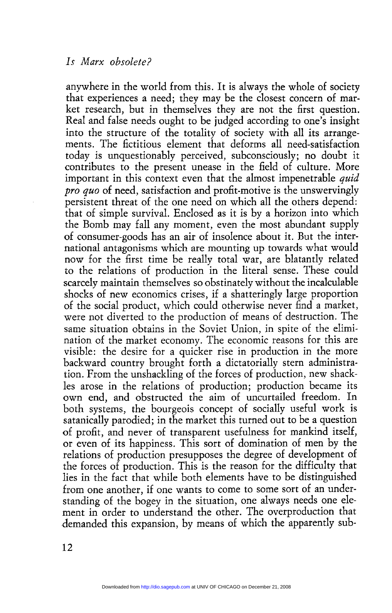anywhere in the world from this. It is always the whole of society that experiences a need; they may be the closest concern of market research, but in themselves they are not the first question. Real and false needs ought to be judged according to one's insight into the structure of the totality of society with all its arrangements. The fictitious element that deforms all need-satisfaction today is unquestionably perceived, subconsciously; no doubt it contributes to the present unease in the field of culture. More important in this context even that the almost impenetrable quid pro quo of need, satisfaction and profit-motive is the unswervingly persistent threat of the one need on which all the others depend: that of simple survival. Enclosed as it is by a horizon into which the Bomb may fall any moment, even the most abundant supply of consumer-goods has an air of insolence about it. But the international antagonisms which are mounting up towards what would now for the first time be really total war, are blatantly related to the relations of production in the literal sense. These could scarcely maintain themselves so obstinately without the incalculable shocks of new economics crises, if a shatteringly large proportion of the social product, which could otherwise never find a market, were not diverted to the production of means of destruction. The same situation obtains in the Soviet Union, in spite of the elimination of the market economy. The economic reasons for this are visible: the desire for a quicker rise in production in the more backward country brought forth a dictatorially stern administration. From the unshackling of the forces of production, new shackles arose in the relations of production; production became its own end, and obstructed the aim of uncurtailed freedom. In both systems, the bourgeois concept of socially useful work is satanically parodied; in the market this turned out to be a question of profit, and never of transparent usefulness for mankind itself, or even of its happiness. This sort of domination of men by the relations of production presupposes the degree of development of the forces of production. This is the reason for the difficulty that lies in the fact that while both elements have to be distinguished from one another, if one wants to come to some sort of an understanding of the bogey in the situation, one always needs one element in order to understand the other. The overproduction that demanded this expansion, by means of which the apparently sub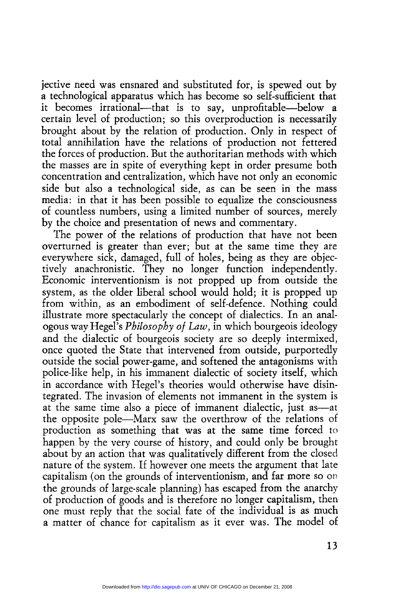jective need was ensnared and substituted for, is spewed out by a technological apparatus which has become so self-sufficient that it becomes irrational—that is to say, unprofitable—below a certain level of production; so this overproduction is necessarily brought about by the relation of production. Only in respect of total annihilation have the relations of production not fettered the forces of production. But the authoritarian methods with which the masses are in spite of everything kept in order presume both concentration and centralization, which have not only an economic side but also a technological side, as can be seen in the mass media: in that it has been possible to equalize the consciousness of countless numbers, using a limited number of sources, merely by the choice and presentation of news and commentary.

The power of the relations of production that have not been overturned is greater than ever; but at the same time they are everywhere sick, damaged, full of holes, being as they are objectively anachronistic. They no longer function independently. Economic interventionism is not propped up from outside the system, as the older liberal school would hold; it is propped up from within, as an embodiment of self-defence. Nothing could illustrate more spectacularly the concept of dialectics. In an analogous way Hegel's Philosophy of Law, in which bourgeois ideology and the dialectic of bourgeois society are so deeply intermixed, once quoted the State that intervened from outside, purportedly outside the social power-game, and softened the antagonisms with police-like help, in his immanent dialectic of society itself, which in accordance with Hegel's theories would otherwise have disintegrated. The invasion of elements not immanent in the system is at the same time also a piece of immanent dialectic, just as at the opposite pole-Marx saw the overthrow of the relations of production as something that was at the same time forced to happen by the very course of history, and could only be brought about by an action that was qualitatively different from the closed nature of the system. If however one meets the argument that late capitalism (on the grounds of interventionism, and far more so on the grounds of large-scale planning) has escaped from the anarchy of production of goods and is therefore no longer capitalism, then one must reply that the social fate of the individual is as much a matter of chance for capitalism as it ever was. The model of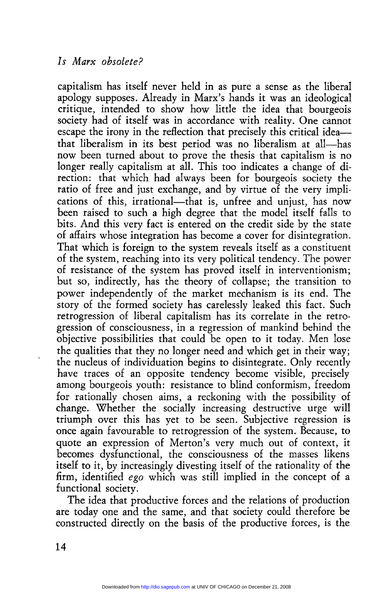capitalism has itself never held in as pure a sense as the liberal apology supposes. Already in Marx's hands it was an ideological critique, intended to show how little the idea that bourgeois society had of itself was in accordance with reality. One cannot escape the irony in the reflection that precisely this critical ideathat liberalism in its best period was no liberalism at all-has now been turned about to prove the thesis that capitalism is no longer really capitalism at all. This too indicates a change of direction: that which had always been for bourgeois society the ratio of free and just exchange, and by virtue of the very implications of this, irrational—that is, unfree and unjust, has now been raised to such a high degree that the model itself falls to bits. And this very fact is entered on the credit side by the state of affairs whose integration has become a cover for disintegration. That which is foreign to the system reveals itself as a constituent of the system, reaching into its very political tendency. The power of resistance of the system has proved itself in interventionism; but so, indirectly, has the theory of collapse; the transition to power independently of the market mechanism is its end. The story of the formed society has carelessly leaked this fact. Such retrogression of liberal capitalism has its correlate in the retrogression of consciousness, in a regression of mankind behind the objective possibilities that could be open to it today. Men lose the qualities that they no longer need and which get in their way;<br>the nucleus of individuation begins to disintegrate. Only recently have traces of an opposite tendency become visible, precisely among bourgeois youth: resistance to blind conformism, freedom for rationally chosen aims, a reckoning with the possibility of change. Whether the socially increasing destructive urge will triumph over this has yet to be seen. Subjective regression is once again favourable to retrogression of the system. Because, to quote an expression of Merton's very much out of context, it becomes dysfunctional, the consciousness of the masses likens itself to it, by increasingly divesting itself of the rationality of the firm, identified ego which was still implied in the concept of a functional society.

The idea that productive forces and the relations of production are today one and the same, and that society could therefore be constructed directly on the basis of the productive forces, is the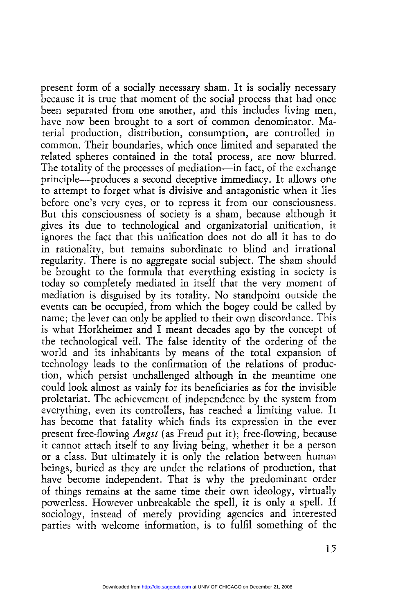present form of a socially necessary sham. It is socially necessary because it is true that moment of the social process that had once been separated from one another, and this includes living men, have now been brought to a sort of common denominator. Material production, distribution, consumption, are controlled in common. Their boundaries, which once limited and separated the related spheres contained in the total process, are now blurred. The totality of the processes of mediation—in fact, of the exchange principle-produces a second deceptive immediacy. It allows one to attempt to forget what is divisive and antagonistic when it lies before one's very eyes, or to repress it from our consciousness. But this consciousness of society is a sham, because although it gives its due to technological and organizatorial unification, it ignores the fact that this unification does not do all it has to do in rationality, but remains subordinate to blind and irrational regularity. There is no aggregate social subject. The sham should be brought to the formula that everything existing in society is today so completely mediated in itself that the very moment of mediation is disguised by its totality. No standpoint outside the events can be occupied, from which the bogey could be called by name; the lever can only be applied to their own discordance. This is what Horkheimer and I meant decades ago by the concept of the technological veil. The false identity of the ordering of the world and its inhabitants by means of the total expansion of technology leads to the confirmation of the relations of production, which persist unchallenged although in the meantime one could look almost as vainly for its beneficiaries as for the invisible proletariat. The achievement of independence by the system from everything, even its controllers, has reached a limiting value. It has become that fatality which finds its expression in the ever present free-flowing *Angst* (as Freud put it); free-flowing, because it cannot attach itself to any living being, whether it be a person or a class. But ultimately it is only the relation between human beings, buried as they are under the relations of production, that have become independent. That is why the predominant order of things remains at the same time their own ideology, virtually powerless. However unbreakable the spell, it is only a spell. If sociology, instead of merely providing agencies and interested parties with welcome information, is to fulfil something of the